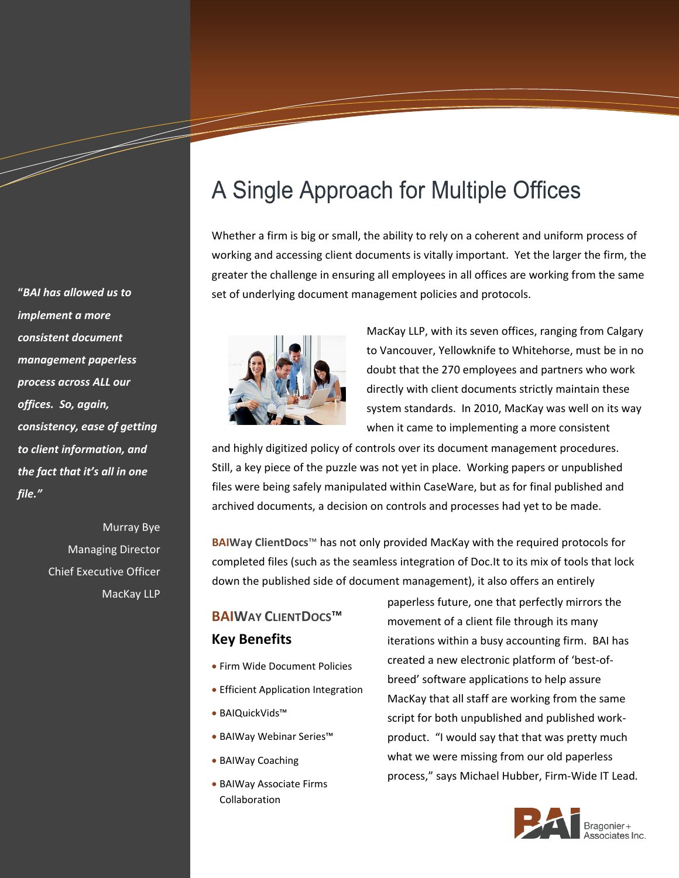**"***BAI has allowed us to implement a more consistent document management paperless process across ALL our offices. So, again, consistency, ease of getting to client information, and the fact that it's all in one file."*

a dhekara waxaa ku dhalka waxaa ku dhalka dheegaa ku dhalka dhalka dhalka dheegaa ku dhalka dhalka dhalka dhe<br>Marka dhalka dhalka dhalka dhalka dhalka dhalka dhalka dhalka dhalka dhalka dhalka dhalka dhalka dhalka dhalka

Murray Bye Managing Director Chief Executive Officer MacKay LLP

# A Single Approach for Multiple Offices

Whether a firm is big or small, the ability to rely on a coherent and uniform process of working and accessing client documents is vitally important. Yet the larger the firm, the greater the challenge in ensuring all employees in all offices are working from the same set of underlying document management policies and protocols.



MacKay LLP, with its seven offices, ranging from Calgary to Vancouver, Yellowknife to Whitehorse, must be in no doubt that the 270 employees and partners who work directly with client documents strictly maintain these system standards. In 2010, MacKay was well on its way when it came to implementing a more consistent

and highly digitized policy of controls over its document management procedures. Still, a key piece of the puzzle was not yet in place. Working papers or unpublished files were being safely manipulated within CaseWare, but as for final published and archived documents, a decision on controls and processes had yet to be made.

**BAIWay ClientDocs**™ has not only provided MacKay with the required protocols for completed files (such as the seamless integration of Doc.It to its mix of tools that lock down the published side of document management), it also offers an entirely

## **BAIWAY CLIENTDOCS**™ **Key Benefits**

- Firm Wide Document Policies
- **Efficient Application Integration**
- BAIQuickVids™
- BAIWay Webinar Series™
- BAIWay Coaching
- BAIWay Associate Firms Collaboration

paperless future, one that perfectly mirrors the movement of a client file through its many iterations within a busy accounting firm. BAI has created a new electronic platform of 'best-ofbreed' software applications to help assure MacKay that all staff are working from the same script for both unpublished and published workproduct. "I would say that that was pretty much what we were missing from our old paperless process," says Michael Hubber, Firm-Wide IT Lead*.*